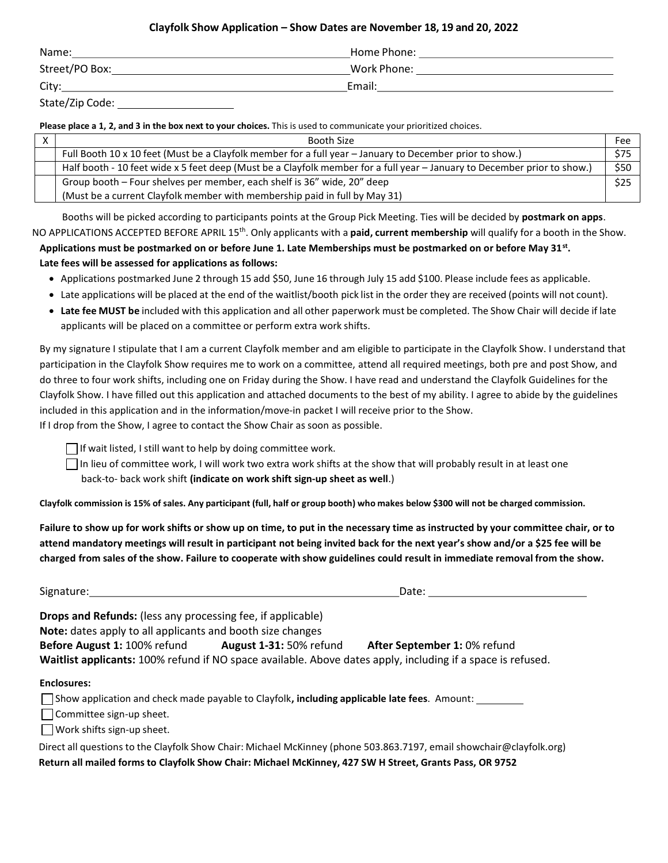### Clayfolk Show Application – Show Dates are November 18, 19 and 20, 2022

| Name:          | Home Phone: |
|----------------|-------------|
| Street/PO Box: | Work Phone: |
| City:          | Email:      |

State/Zip Code:

Please place a 1, 2, and 3 in the box next to your choices. This is used to communicate your prioritized choices.

| Booth Size                                                                                                               | Fee  |
|--------------------------------------------------------------------------------------------------------------------------|------|
| Full Booth 10 x 10 feet (Must be a Clayfolk member for a full year - January to December prior to show.)                 | \$75 |
| Half booth - 10 feet wide x 5 feet deep (Must be a Clayfolk member for a full year - January to December prior to show.) | \$50 |
| Group booth - Four shelves per member, each shelf is 36" wide, 20" deep                                                  | \$25 |
| (Must be a current Clayfolk member with membership paid in full by May 31)                                               |      |

Booths will be picked according to participants points at the Group Pick Meeting. Ties will be decided by **postmark on apps**. NO APPLICATIONS ACCEPTED BEFORE APRIL 15<sup>th</sup>. Only applicants with a **paid, current membership** will qualify for a booth in the Show.

Applications must be postmarked on or before June 1. Late Memberships must be postmarked on or before May 31st. Late fees will be assessed for applications as follows:

- Applications postmarked June 2 through 15 add \$50, June 16 through July 15 add \$100. Please include fees as applicable.
- Late applications will be placed at the end of the waitlist/booth pick list in the order they are received (points will not count).
- Late fee MUST be included with this application and all other paperwork must be completed. The Show Chair will decide if late applicants will be placed on a committee or perform extra work shifts.

By my signature I stipulate that I am a current Clayfolk member and am eligible to participate in the Clayfolk Show. I understand that participation in the Clayfolk Show requires me to work on a committee, attend all required meetings, both pre and post Show, and do three to four work shifts, including one on Friday during the Show. I have read and understand the Clayfolk Guidelines for the Clayfolk Show. I have filled out this application and attached documents to the best of my ability. I agree to abide by the guidelines included in this application and in the information/move-in packet I will receive prior to the Show. If I drop from the Show, I agree to contact the Show Chair as soon as possible.

 $\Box$  If wait listed, I still want to help by doing committee work.

 $\Box$  In lieu of committee work, I will work two extra work shifts at the show that will probably result in at least one

back-to- back work shift (indicate on work shift sign-up sheet as well.)

Clayfolk commission is 15% of sales. Any participant (full, half or group booth) who makes below \$300 will not be charged commission.

Failure to show up for work shifts or show up on time, to put in the necessary time as instructed by your committee chair, or to attend mandatory meetings will result in participant not being invited back for the next year's show and/or a \$25 fee will be charged from sales of the show. Failure to cooperate with show guidelines could result in immediate removal from the show.

Signature: Date: Department of the United States of the United States of the United States of the United States of the United States of the United States of the United States of the United States of the United States of th

Drops and Refunds: (less any processing fee, if applicable) Note: dates apply to all applicants and booth size changes Before August 1: 100% refund August 1-31: 50% refund After September 1: 0% refund Waitlist applicants: 100% refund if NO space available. Above dates apply, including if a space is refused.

#### Enclosures:

| $\Box$ Show application and check made payable to Clayfolk, including applicable late fees. Amount: |  |
|-----------------------------------------------------------------------------------------------------|--|
| $\Box$ Committee sign-up sheet.                                                                     |  |

 $\Box$  Work shifts sign-up sheet.

Direct all questions to the Clayfolk Show Chair: Michael McKinney (phone 503.863.7197, email showchair@clayfolk.org) Return all mailed forms to Clayfolk Show Chair: Michael McKinney, 427 SW H Street, Grants Pass, OR 9752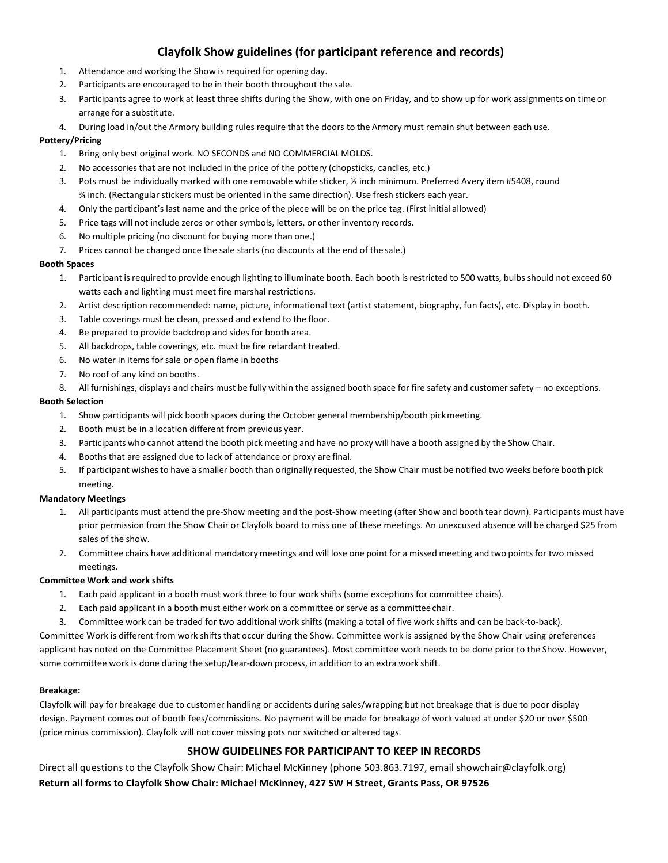## Clayfolk Show guidelines (for participant reference and records)

- 1. Attendance and working the Show is required for opening day.
- 2. Participants are encouraged to be in their booth throughout the sale.
- 3. Participants agree to work at least three shifts during the Show, with one on Friday, and to show up for work assignments on time or arrange for a substitute.
- 4. During load in/out the Armory building rules require that the doors to the Armory must remain shut between each use.

#### Pottery/Pricing

- 1. Bring only best original work. NO SECONDS and NO COMMERCIAL MOLDS.
- 2. No accessories that are not included in the price of the pottery (chopsticks, candles, etc.)
- 3. Pots must be individually marked with one removable white sticker, ½ inch minimum. Preferred Avery item #5408, round ¾ inch. (Rectangular stickers must be oriented in the same direction). Use fresh stickers each year.
- 4. Only the participant's last name and the price of the piece will be on the price tag. (First initial allowed)
- 5. Price tags will not include zeros or other symbols, letters, or other inventory records.
- 6. No multiple pricing (no discount for buying more than one.)
- 7. Prices cannot be changed once the sale starts (no discounts at the end of the sale.)

#### Booth Spaces

- 1. Participant is required to provide enough lighting to illuminate booth. Each booth is restricted to 500 watts, bulbs should not exceed 60 watts each and lighting must meet fire marshal restrictions.
- 2. Artist description recommended: name, picture, informational text (artist statement, biography, fun facts), etc. Display in booth.
- 3. Table coverings must be clean, pressed and extend to the floor.
- 4. Be prepared to provide backdrop and sides for booth area.
- 5. All backdrops, table coverings, etc. must be fire retardant treated.
- 6. No water in items for sale or open flame in booths
- 7. No roof of any kind on booths.
- 8. All furnishings, displays and chairs must be fully within the assigned booth space for fire safety and customer safety no exceptions.

#### Booth Selection

- 1. Show participants will pick booth spaces during the October general membership/booth pick meeting.
- 2. Booth must be in a location different from previous year.
- 3. Participants who cannot attend the booth pick meeting and have no proxy will have a booth assigned by the Show Chair.
- 4. Booths that are assigned due to lack of attendance or proxy are final.
- 5. If participant wishes to have a smaller booth than originally requested, the Show Chair must be notified two weeks before booth pick meeting.

#### Mandatory Meetings

- 1. All participants must attend the pre-Show meeting and the post-Show meeting (after Show and booth tear down). Participants must have prior permission from the Show Chair or Clayfolk board to miss one of these meetings. An unexcused absence will be charged \$25 from sales of the show.
- 2. Committee chairs have additional mandatory meetings and will lose one point for a missed meeting and two points for two missed meetings.

#### Committee Work and work shifts

- 1. Each paid applicant in a booth must work three to four work shifts (some exceptions for committee chairs).
- 2. Each paid applicant in a booth must either work on a committee or serve as a committee chair.
- 3. Committee work can be traded for two additional work shifts (making a total of five work shifts and can be back-to-back).

Committee Work is different from work shifts that occur during the Show. Committee work is assigned by the Show Chair using preferences applicant has noted on the Committee Placement Sheet (no guarantees). Most committee work needs to be done prior to the Show. However, some committee work is done during the setup/tear-down process, in addition to an extra work shift.

#### Breakage:

Clayfolk will pay for breakage due to customer handling or accidents during sales/wrapping but not breakage that is due to poor display design. Payment comes out of booth fees/commissions. No payment will be made for breakage of work valued at under \$20 or over \$500 (price minus commission). Clayfolk will not cover missing pots nor switched or altered tags.

## SHOW GUIDELINES FOR PARTICIPANT TO KEEP IN RECORDS

Direct all questions to the Clayfolk Show Chair: Michael McKinney (phone 503.863.7197, email showchair@clayfolk.org) Return all forms to Clayfolk Show Chair: Michael McKinney, 427 SW H Street, Grants Pass, OR 97526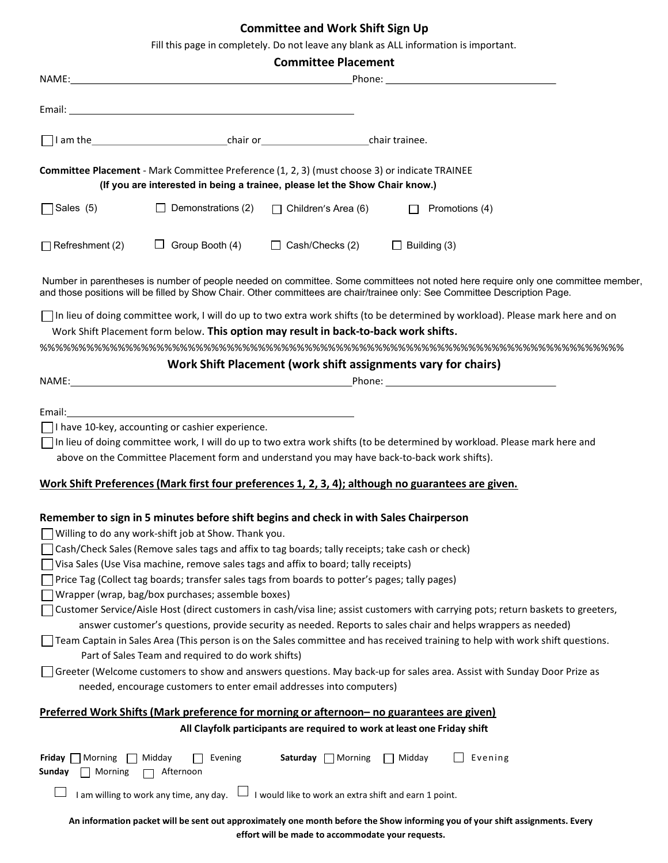# Committee and Work Shift Sign Up

Fill this page in completely. Do not leave any blank as ALL information is important.

| <b>Committee Placement</b>                                                                                                                                                   |                                                                                                                                                                                                                                                                                                                                                                                                                                                                                                                                                                                                                                      |                                                                          |                                                                                                                                                                                                                                                                                                                                                                                                                                                                                                                |  |  |  |
|------------------------------------------------------------------------------------------------------------------------------------------------------------------------------|--------------------------------------------------------------------------------------------------------------------------------------------------------------------------------------------------------------------------------------------------------------------------------------------------------------------------------------------------------------------------------------------------------------------------------------------------------------------------------------------------------------------------------------------------------------------------------------------------------------------------------------|--------------------------------------------------------------------------|----------------------------------------------------------------------------------------------------------------------------------------------------------------------------------------------------------------------------------------------------------------------------------------------------------------------------------------------------------------------------------------------------------------------------------------------------------------------------------------------------------------|--|--|--|
|                                                                                                                                                                              |                                                                                                                                                                                                                                                                                                                                                                                                                                                                                                                                                                                                                                      |                                                                          |                                                                                                                                                                                                                                                                                                                                                                                                                                                                                                                |  |  |  |
|                                                                                                                                                                              |                                                                                                                                                                                                                                                                                                                                                                                                                                                                                                                                                                                                                                      |                                                                          |                                                                                                                                                                                                                                                                                                                                                                                                                                                                                                                |  |  |  |
|                                                                                                                                                                              |                                                                                                                                                                                                                                                                                                                                                                                                                                                                                                                                                                                                                                      |                                                                          |                                                                                                                                                                                                                                                                                                                                                                                                                                                                                                                |  |  |  |
| Committee Placement - Mark Committee Preference (1, 2, 3) (must choose 3) or indicate TRAINEE<br>(If you are interested in being a trainee, please let the Show Chair know.) |                                                                                                                                                                                                                                                                                                                                                                                                                                                                                                                                                                                                                                      |                                                                          |                                                                                                                                                                                                                                                                                                                                                                                                                                                                                                                |  |  |  |
| $\bigcap$ Sales (5)                                                                                                                                                          |                                                                                                                                                                                                                                                                                                                                                                                                                                                                                                                                                                                                                                      | Demonstrations (2) $\Box$ Children's Area (6)                            | $\Box$ Promotions (4)                                                                                                                                                                                                                                                                                                                                                                                                                                                                                          |  |  |  |
|                                                                                                                                                                              | $\Box$ Refreshment (2) $\Box$ Group Booth (4) $\Box$ Cash/Checks (2) $\Box$ Building (3)                                                                                                                                                                                                                                                                                                                                                                                                                                                                                                                                             |                                                                          |                                                                                                                                                                                                                                                                                                                                                                                                                                                                                                                |  |  |  |
|                                                                                                                                                                              |                                                                                                                                                                                                                                                                                                                                                                                                                                                                                                                                                                                                                                      |                                                                          | Number in parentheses is number of people needed on committee. Some committees not noted here require only one committee member,<br>and those positions will be filled by Show Chair. Other committees are chair/trainee only: See Committee Description Page.                                                                                                                                                                                                                                                 |  |  |  |
|                                                                                                                                                                              | Work Shift Placement form below. This option may result in back-to-back work shifts.                                                                                                                                                                                                                                                                                                                                                                                                                                                                                                                                                 |                                                                          | In lieu of doing committee work, I will do up to two extra work shifts (to be determined by workload). Please mark here and on                                                                                                                                                                                                                                                                                                                                                                                 |  |  |  |
|                                                                                                                                                                              |                                                                                                                                                                                                                                                                                                                                                                                                                                                                                                                                                                                                                                      |                                                                          | Work Shift Placement (work shift assignments vary for chairs)                                                                                                                                                                                                                                                                                                                                                                                                                                                  |  |  |  |
|                                                                                                                                                                              | above on the Committee Placement form and understand you may have back-to-back work shifts).                                                                                                                                                                                                                                                                                                                                                                                                                                                                                                                                         |                                                                          | In lieu of doing committee work, I will do up to two extra work shifts (to be determined by workload. Please mark here and<br>Work Shift Preferences (Mark first four preferences 1, 2, 3, 4); although no guarantees are given.                                                                                                                                                                                                                                                                               |  |  |  |
|                                                                                                                                                                              | Remember to sign in 5 minutes before shift begins and check in with Sales Chairperson<br>$\Box$ Willing to do any work-shift job at Show. Thank you.<br>Cash/Check Sales (Remove sales tags and affix to tag boards; tally receipts; take cash or check)<br>Visa Sales (Use Visa machine, remove sales tags and affix to board; tally receipts)<br>Price Tag (Collect tag boards; transfer sales tags from boards to potter's pages; tally pages)<br>Wrapper (wrap, bag/box purchases; assemble boxes)<br>Part of Sales Team and required to do work shifts)<br>needed, encourage customers to enter email addresses into computers) |                                                                          | Customer Service/Aisle Host (direct customers in cash/visa line; assist customers with carrying pots; return baskets to greeters,<br>answer customer's questions, provide security as needed. Reports to sales chair and helps wrappers as needed)<br>Team Captain in Sales Area (This person is on the Sales committee and has received training to help with work shift questions.<br>Greeter (Welcome customers to show and answers questions. May back-up for sales area. Assist with Sunday Door Prize as |  |  |  |
| <u>Preferred Work Shifts (Mark preference for morning or afternoon- no guarantees are given)</u>                                                                             |                                                                                                                                                                                                                                                                                                                                                                                                                                                                                                                                                                                                                                      |                                                                          |                                                                                                                                                                                                                                                                                                                                                                                                                                                                                                                |  |  |  |
|                                                                                                                                                                              |                                                                                                                                                                                                                                                                                                                                                                                                                                                                                                                                                                                                                                      | All Clayfolk participants are required to work at least one Friday shift |                                                                                                                                                                                                                                                                                                                                                                                                                                                                                                                |  |  |  |
| Morning<br>Friday  <br>Sunday<br>Morning                                                                                                                                     | Midday<br>Evening<br>Afternoon                                                                                                                                                                                                                                                                                                                                                                                                                                                                                                                                                                                                       | Saturday<br>Morning                                                      | Evening<br>Midday                                                                                                                                                                                                                                                                                                                                                                                                                                                                                              |  |  |  |
|                                                                                                                                                                              | I am willing to work any time, any day.                                                                                                                                                                                                                                                                                                                                                                                                                                                                                                                                                                                              | I would like to work an extra shift and earn 1 point.                    |                                                                                                                                                                                                                                                                                                                                                                                                                                                                                                                |  |  |  |
|                                                                                                                                                                              |                                                                                                                                                                                                                                                                                                                                                                                                                                                                                                                                                                                                                                      |                                                                          | An information packet will be sent out approximately one month before the Show informing you of your shift assignments. Every                                                                                                                                                                                                                                                                                                                                                                                  |  |  |  |

effort will be made to accommodate your requests.